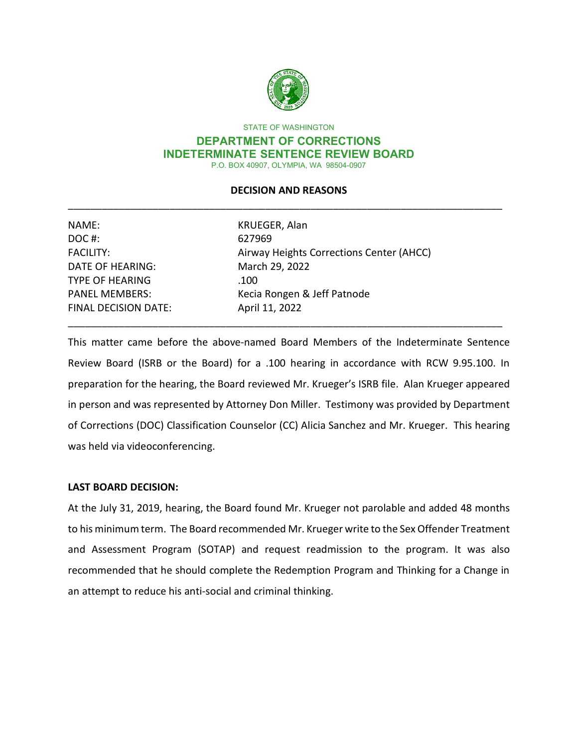

STATE OF WASHINGTON

#### **DEPARTMENT OF CORRECTIONS INDETERMINATE SENTENCE REVIEW BOARD**  P.O. BOX 40907, OLYMPIA, WA 98504-0907

# \_\_\_\_\_\_\_\_\_\_\_\_\_\_\_\_\_\_\_\_\_\_\_\_\_\_\_\_\_\_\_\_\_\_\_\_\_\_\_\_\_\_\_\_\_\_\_\_\_\_\_\_\_\_\_\_\_\_\_\_\_\_\_\_\_\_\_\_\_\_\_\_\_\_\_\_\_ **DECISION AND REASONS**

| NAME:                       | KRUEGER, Alan                            |  |
|-----------------------------|------------------------------------------|--|
| DOC#:                       | 627969                                   |  |
| <b>FACILITY:</b>            | Airway Heights Corrections Center (AHCC) |  |
| <b>DATE OF HEARING:</b>     | March 29, 2022                           |  |
| <b>TYPE OF HEARING</b>      | .100                                     |  |
| <b>PANEL MEMBERS:</b>       | Kecia Rongen & Jeff Patnode              |  |
| <b>FINAL DECISION DATE:</b> | April 11, 2022                           |  |
|                             |                                          |  |

 preparation for the hearing, the Board reviewed Mr. Krueger's ISRB file. Alan Krueger appeared of Corrections (DOC) Classification Counselor (CC) Alicia Sanchez and Mr. Krueger. This hearing was held via videoconferencing. This matter came before the above-named Board Members of the Indeterminate Sentence Review Board (ISRB or the Board) for a .100 hearing in accordance with RCW 9.95.100. In in person and was represented by Attorney Don Miller. Testimony was provided by Department

# **LAST BOARD DECISION:**

 to his minimum term. The Board recommended Mr. Krueger write to the Sex Offender Treatment and Assessment Program (SOTAP) and request readmission to the program. It was also recommended that he should complete the Redemption Program and Thinking for a Change in an attempt to reduce his anti-social and criminal thinking. At the July 31, 2019, hearing, the Board found Mr. Krueger not parolable and added 48 months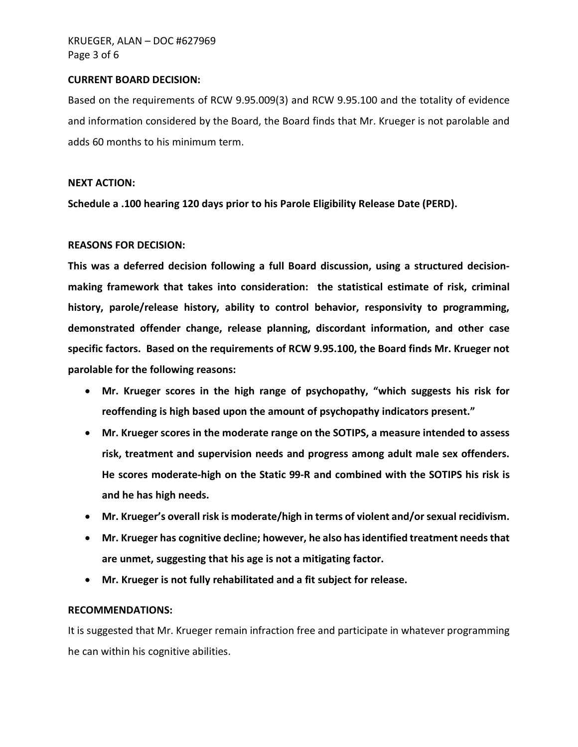#### **CURRENT BOARD DECISION:**

 and information considered by the Board, the Board finds that Mr. Krueger is not parolable and Based on the requirements of RCW 9.95.009(3) and RCW 9.95.100 and the totality of evidence adds 60 months to his minimum term.

### **NEXT ACTION:**

**Schedule a .100 hearing 120 days prior to his Parole Eligibility Release Date (PERD).** 

# **REASONS FOR DECISION:**

 **parolable for the following reasons: This was a deferred decision following a full Board discussion, using a structured decisionmaking framework that takes into consideration: the statistical estimate of risk, criminal history, parole/release history, ability to control behavior, responsivity to programming, demonstrated offender change, release planning, discordant information, and other case specific factors. Based on the requirements of RCW 9.95.100, the Board finds Mr. Krueger not** 

- **Mr. Krueger scores in the high range of psychopathy, "which suggests his risk for reoffending is high based upon the amount of psychopathy indicators present."**
- **Mr. Krueger scores in the moderate range on the SOTIPS, a measure intended to assess risk, treatment and supervision needs and progress among adult male sex offenders. He scores moderate-high on the Static 99-R and combined with the SOTIPS his risk is and he has high needs.**
- **Mr. Krueger's overall risk is moderate/high in terms of violent and/or sexual recidivism.**
- **Mr. Krueger has cognitive decline; however, he also has identified treatment needs that are unmet, suggesting that his age is not a mitigating factor.**
- **Mr. Krueger is not fully rehabilitated and a fit subject for release.**

### **RECOMMENDATIONS:**

It is suggested that Mr. Krueger remain infraction free and participate in whatever programming he can within his cognitive abilities.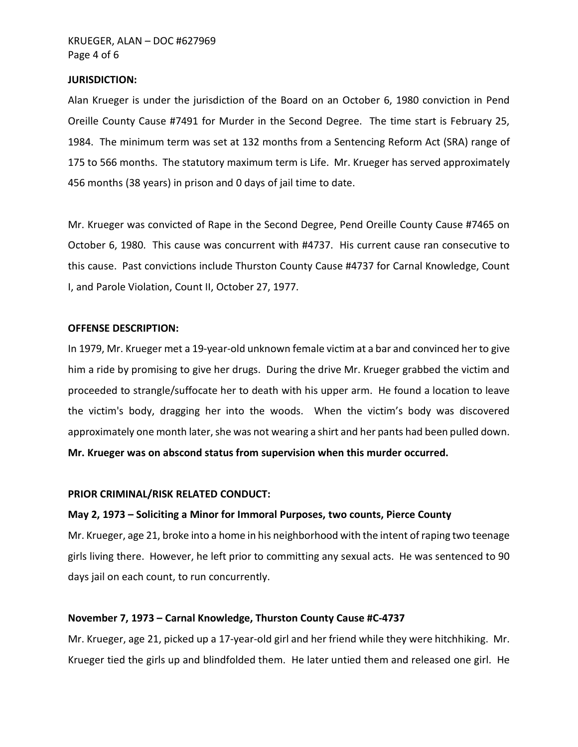#### **JURISDICTION:**

 Alan Krueger is under the jurisdiction of the Board on an October 6, 1980 conviction in Pend 1984. The minimum term was set at 132 months from a Sentencing Reform Act (SRA) range of 175 to 566 months. The statutory maximum term is Life. Mr. Krueger has served approximately Oreille County Cause #7491 for Murder in the Second Degree. The time start is February 25, 456 months (38 years) in prison and 0 days of jail time to date.

 Mr. Krueger was convicted of Rape in the Second Degree, Pend Oreille County Cause #7465 on October 6, 1980. This cause was concurrent with #4737. His current cause ran consecutive to this cause. Past convictions include Thurston County Cause #4737 for Carnal Knowledge, Count I, and Parole Violation, Count II, October 27, 1977.

#### **OFFENSE DESCRIPTION:**

 In 1979, Mr. Krueger met a 19-year-old unknown female victim at a bar and convinced her to give him a ride by promising to give her drugs. During the drive Mr. Krueger grabbed the victim and approximately one month later, she was not wearing a shirt and her pants had been pulled down. proceeded to strangle/suffocate her to death with his upper arm. He found a location to leave the victim's body, dragging her into the woods. When the victim's body was discovered **Mr. Krueger was on abscond status from supervision when this murder occurred.** 

#### **PRIOR CRIMINAL/RISK RELATED CONDUCT:**

#### **May 2, 1973 – Soliciting a Minor for Immoral Purposes, two counts, Pierce County**

 Mr. Krueger, age 21, broke into a home in his neighborhood with the intent of raping two teenage girls living there. However, he left prior to committing any sexual acts. He was sentenced to 90 days jail on each count, to run concurrently.

#### **November 7, 1973 – Carnal Knowledge, Thurston County Cause #C-4737**

 Krueger tied the girls up and blindfolded them. He later untied them and released one girl. He Mr. Krueger, age 21, picked up a 17-year-old girl and her friend while they were hitchhiking. Mr.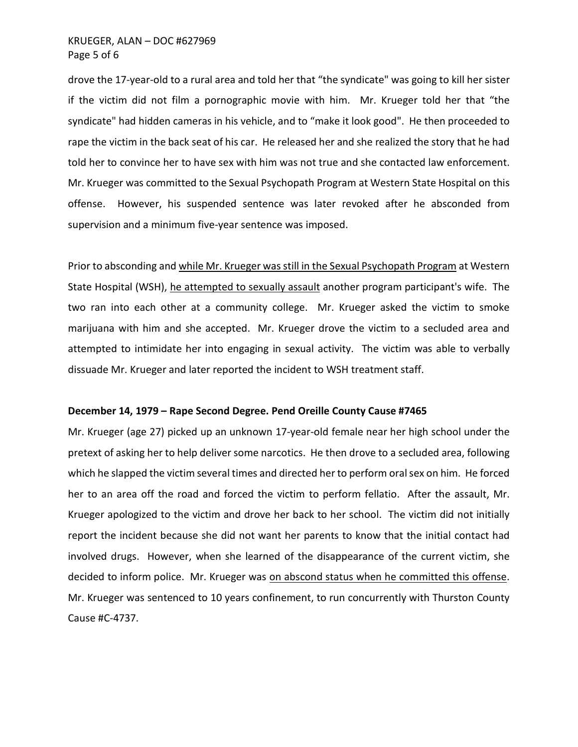drove the 17-year-old to a rural area and told her that "the syndicate" was going to kill her sister if the victim did not film a pornographic movie with him. Mr. Krueger told her that "the syndicate" had hidden cameras in his vehicle, and to "make it look good". He then proceeded to rape the victim in the back seat of his car. He released her and she realized the story that he had told her to convince her to have sex with him was not true and she contacted law enforcement. offense. However, his suspended sentence was later revoked after he absconded from Mr. Krueger was committed to the Sexual Psychopath Program at Western State Hospital on this supervision and a minimum five-year sentence was imposed.

State Hospital (WSH), he attempted to sexually assault another program participant's wife. The two ran into each other at a community college. Mr. Krueger asked the victim to smoke marijuana with him and she accepted. Mr. Krueger drove the victim to a secluded area and attempted to intimidate her into engaging in sexual activity. The victim was able to verbally Prior to absconding and while Mr. Krueger was still in the Sexual Psychopath Program at Western dissuade Mr. Krueger and later reported the incident to WSH treatment staff.

### **December 14, 1979 – Rape Second Degree. Pend Oreille County Cause #7465**

 Mr. Krueger (age 27) picked up an unknown 17-year-old female near her high school under the pretext of asking her to help deliver some narcotics. He then drove to a secluded area, following which he slapped the victim several times and directed her to perform oral sex on him. He forced her to an area off the road and forced the victim to perform fellatio. After the assault, Mr. Krueger apologized to the victim and drove her back to her school. The victim did not initially report the incident because she did not want her parents to know that the initial contact had involved drugs. However, when she learned of the disappearance of the current victim, she decided to inform police. Mr. Krueger was on abscond status when he committed this offense. Mr. Krueger was sentenced to 10 years confinement, to run concurrently with Thurston County Cause #C-4737.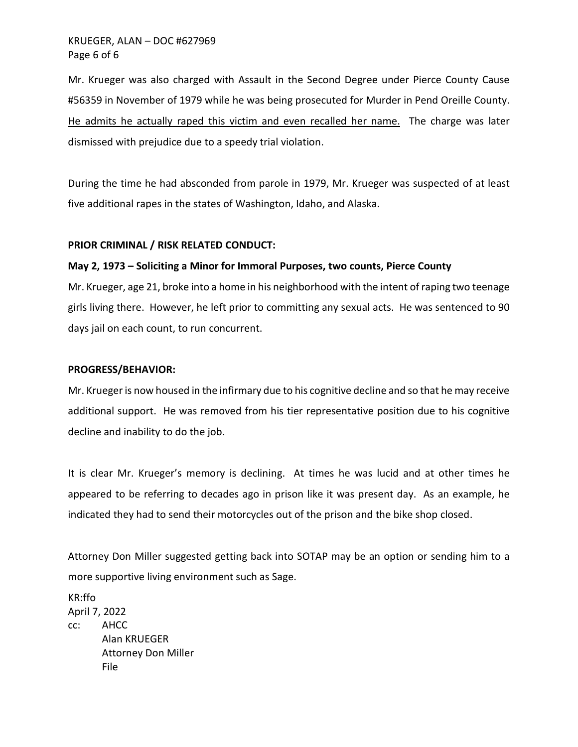# Page 6 of 6 KRUEGER, ALAN – DOC #627969

He admits he actually raped this victim and even recalled her name. The charge was later Mr. Krueger was also charged with Assault in the Second Degree under Pierce County Cause #56359 in November of 1979 while he was being prosecuted for Murder in Pend Oreille County. dismissed with prejudice due to a speedy trial violation.

 five additional rapes in the states of Washington, Idaho, and Alaska. During the time he had absconded from parole in 1979, Mr. Krueger was suspected of at least

#### **PRIOR CRIMINAL / RISK RELATED CONDUCT:**

### **May 2, 1973 – Soliciting a Minor for Immoral Purposes, two counts, Pierce County**

 Mr. Krueger, age 21, broke into a home in his neighborhood with the intent of raping two teenage girls living there. However, he left prior to committing any sexual acts. He was sentenced to 90 days jail on each count, to run concurrent.

#### **PROGRESS/BEHAVIOR:**

 Mr. Krueger is now housed in the infirmary due to his cognitive decline and so that he may receive additional support. He was removed from his tier representative position due to his cognitive decline and inability to do the job.

 It is clear Mr. Krueger's memory is declining. At times he was lucid and at other times he appeared to be referring to decades ago in prison like it was present day. As an example, he indicated they had to send their motorcycles out of the prison and the bike shop closed.

 more supportive living environment such as Sage. Attorney Don Miller suggested getting back into SOTAP may be an option or sending him to a

CC: Attorney Don Miller KR:ffo April 7, 2022 cc: AHCC Alan KRUEGER File